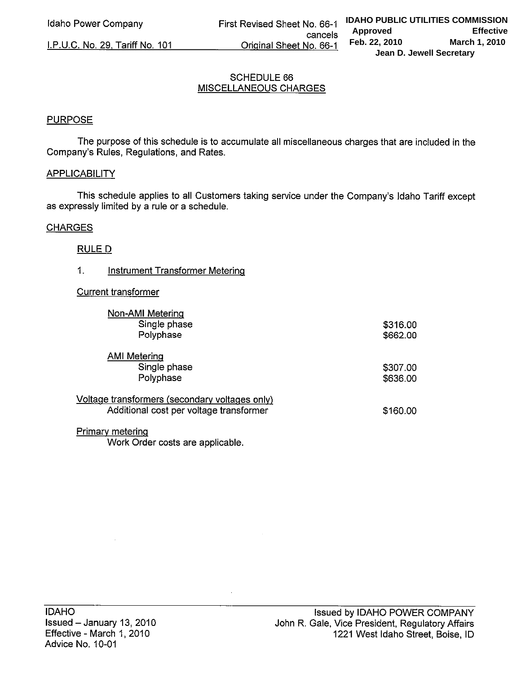I.P.U.C. No. 29, Tariff No. 101

# **SCHEDULE 66 MISCELLANEOUS CHARGES**

# **PURPOSE**

The purpose of this schedule is to accumulate all miscellaneous charges that are included in the Company's Rules, Regulations, and Rates.

## **APPLICABILITY**

This schedule applies to all Customers taking service under the Company's Idaho Tariff except as expressly limited by a rule or a schedule.

# **CHARGES**

# **RULE D**

#### $1.$ **Instrument Transformer Metering**

## **Current transformer**

| Non-AMI Metering<br>Single phase<br>Polyphase                                             | \$316.00<br>\$662.00 |
|-------------------------------------------------------------------------------------------|----------------------|
| <b>AMI Metering</b>                                                                       |                      |
| Single phase<br>Polyphase                                                                 | \$307.00<br>\$636.00 |
| Voltage transformers (secondary voltages only)<br>Additional cost per voltage transformer | \$160.00             |
| <b>Primary metering</b>                                                                   |                      |

Work Order costs are applicable.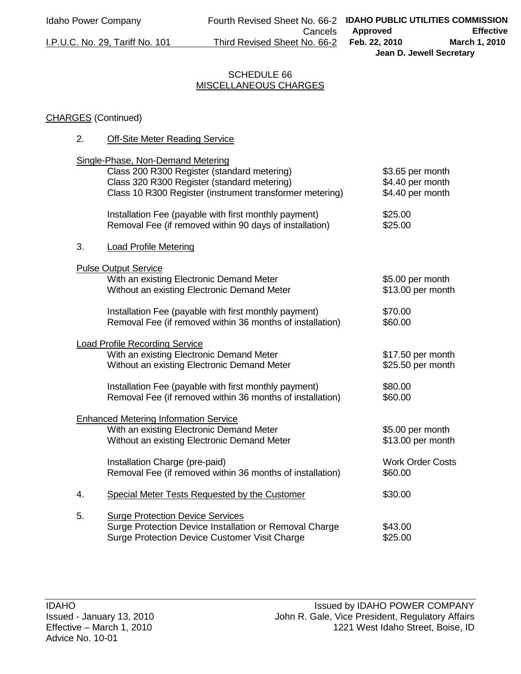**Cancels** I.P.U.C. No. 29, Tariff No. 101 Third Revised Sheet No. 66-2

# SCHEDULE 66 MISCELLANEOUS CHARGES

# CHARGES (Continued)

2. Off-Site Meter Reading Service

|    | <u><b>Site Meter Redding Oct vice</b></u>                                                                                                                                                   |                                                          |
|----|---------------------------------------------------------------------------------------------------------------------------------------------------------------------------------------------|----------------------------------------------------------|
|    | Single-Phase, Non-Demand Metering<br>Class 200 R300 Register (standard metering)<br>Class 320 R300 Register (standard metering)<br>Class 10 R300 Register (instrument transformer metering) | \$3.65 per month<br>\$4.40 per month<br>\$4.40 per month |
|    | Installation Fee (payable with first monthly payment)<br>Removal Fee (if removed within 90 days of installation)                                                                            | \$25.00<br>\$25.00                                       |
| 3. | <b>Load Profile Metering</b>                                                                                                                                                                |                                                          |
|    | <b>Pulse Output Service</b>                                                                                                                                                                 |                                                          |
|    | With an existing Electronic Demand Meter<br>Without an existing Electronic Demand Meter                                                                                                     | \$5.00 per month<br>\$13.00 per month                    |
|    | Installation Fee (payable with first monthly payment)<br>Removal Fee (if removed within 36 months of installation)                                                                          | \$70.00<br>\$60.00                                       |
|    | <b>Load Profile Recording Service</b><br>With an existing Electronic Demand Meter<br>Without an existing Electronic Demand Meter                                                            | \$17.50 per month<br>\$25.50 per month                   |
|    | Installation Fee (payable with first monthly payment)<br>Removal Fee (if removed within 36 months of installation)                                                                          | \$80.00<br>\$60.00                                       |
|    | <b>Enhanced Metering Information Service</b><br>With an existing Electronic Demand Meter<br>Without an existing Electronic Demand Meter                                                     | \$5.00 per month<br>\$13.00 per month                    |
|    | Installation Charge (pre-paid)<br>Removal Fee (if removed within 36 months of installation)                                                                                                 | <b>Work Order Costs</b><br>\$60.00                       |
|    |                                                                                                                                                                                             |                                                          |

5. Surge Protection Device Services Surge Protection Device Installation or Removal Charge  $$43.00$ Surge Protection Device Customer Visit Charge \$25.00

4. Special Meter Tests Requested by the Customer \$30.00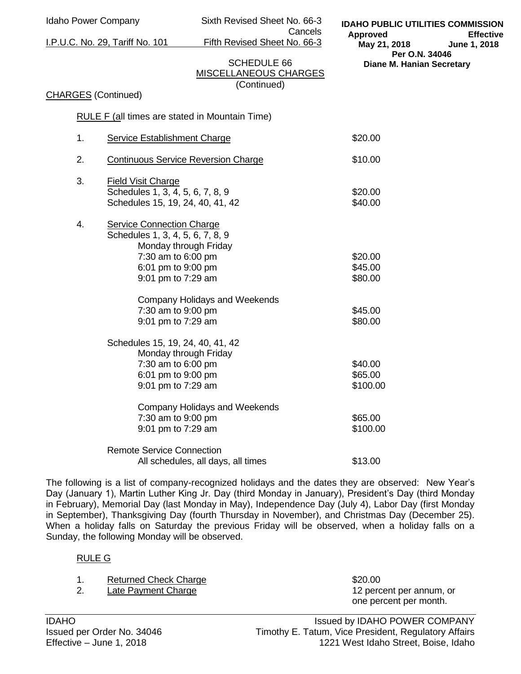Idaho Power Company Sixth Revised Sheet No. 66-3 Cancels

I.P.U.C. No. 29, Tariff No. 101 Fifth Revised Sheet No. 66-3

**IDAHO PUBLIC UTILITIES COMMISSION Approved Effective May 21, 2018 June 1, 2018 Per O.N. 34046 Diane M. Hanian Secretary** 

# SCHEDULE 66 MISCELLANEOUS CHARGES (Continued)

## CHARGES (Continued)

RULE F (all times are stated in Mountain Time)

| 1. | Service Establishment Charge                                                                                                                             | \$20.00                        |
|----|----------------------------------------------------------------------------------------------------------------------------------------------------------|--------------------------------|
| 2. | <b>Continuous Service Reversion Charge</b>                                                                                                               | \$10.00                        |
| 3. | <b>Field Visit Charge</b><br>Schedules 1, 3, 4, 5, 6, 7, 8, 9<br>Schedules 15, 19, 24, 40, 41, 42                                                        | \$20.00<br>\$40.00             |
| 4. | Service Connection Charge<br>Schedules 1, 3, 4, 5, 6, 7, 8, 9<br>Monday through Friday<br>7:30 am to 6:00 pm<br>6:01 pm to 9:00 pm<br>9:01 pm to 7:29 am | \$20.00<br>\$45.00<br>\$80.00  |
|    | Company Holidays and Weekends<br>7:30 am to 9:00 pm<br>9:01 pm to 7:29 am                                                                                | \$45.00<br>\$80.00             |
|    | Schedules 15, 19, 24, 40, 41, 42<br>Monday through Friday<br>7:30 am to 6:00 pm<br>6:01 pm to 9:00 pm<br>9:01 pm to 7:29 am                              | \$40.00<br>\$65.00<br>\$100.00 |
|    | Company Holidays and Weekends<br>7:30 am to 9:00 pm<br>9:01 pm to 7:29 am                                                                                | \$65.00<br>\$100.00            |
|    | <b>Remote Service Connection</b><br>All schedules, all days, all times                                                                                   | \$13.00                        |

The following is a list of company-recognized holidays and the dates they are observed: New Year's Day (January 1), Martin Luther King Jr. Day (third Monday in January), President's Day (third Monday in February), Memorial Day (last Monday in May), Independence Day (July 4), Labor Day (first Monday in September), Thanksgiving Day (fourth Thursday in November), and Christmas Day (December 25). When a holiday falls on Saturday the previous Friday will be observed, when a holiday falls on a Sunday, the following Monday will be observed.

## RULE G

|  | <b>Returned Check Charge</b> | \$20.00 |
|--|------------------------------|---------|
|--|------------------------------|---------|

2. Late Payment Charge 12 percent per annum, or

one percent per month.

IDAHO IDAHO ISSued by IDAHO POWER COMPANY Issued per Order No. 34046 Timothy E. Tatum, Vice President, Regulatory Affairs Effective – June 1, 2018 1221 West Idaho Street, Boise, Idaho